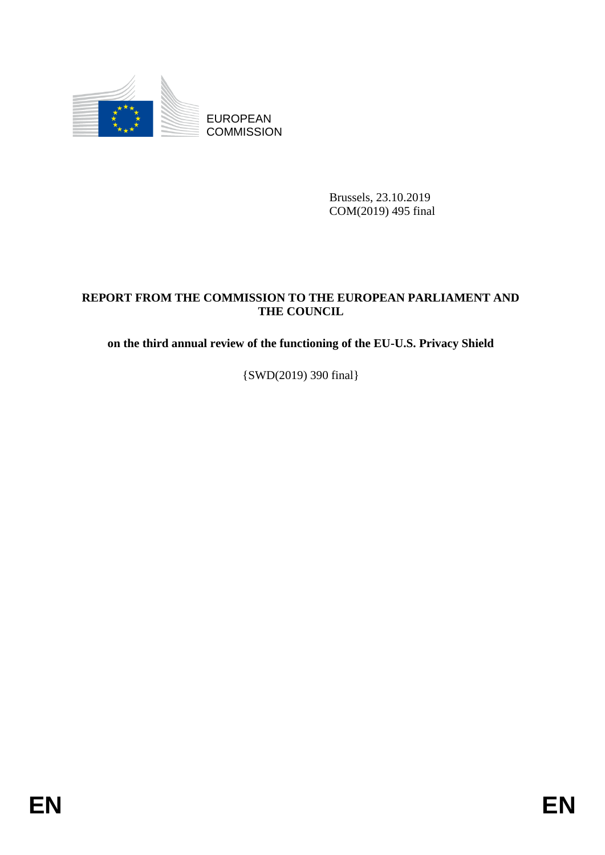

**COMMISSION** 

Brussels, 23.10.2019 COM(2019) 495 final

# EUROPEAN<br>
EUROPEAN<br>
ENGINEERS<br>
COMMISSION<br>
COMMISSION<br>
COMMISSION<br> **ENGINEERS**<br> **ENGINEERS**<br> **ENGINEERS**<br> **ENGINEERS**<br> **ENGINEERS**<br> **ENGINEERS**<br> **ENGINEERS**<br>
<br> **ENGINEERS**<br>
<br> **ENGINEERS**<br>
<br> **ENGINEERS**<br>
<br> **ENGINEERS**<br>
<br> **E REPORT FROM THE COMMISSION TO THE EUROPEAN PARLIAMENT AND THE COUNCIL**

**on the third annual review of the functioning of the EU-U.S. Privacy Shield**

{SWD(2019) 390 final}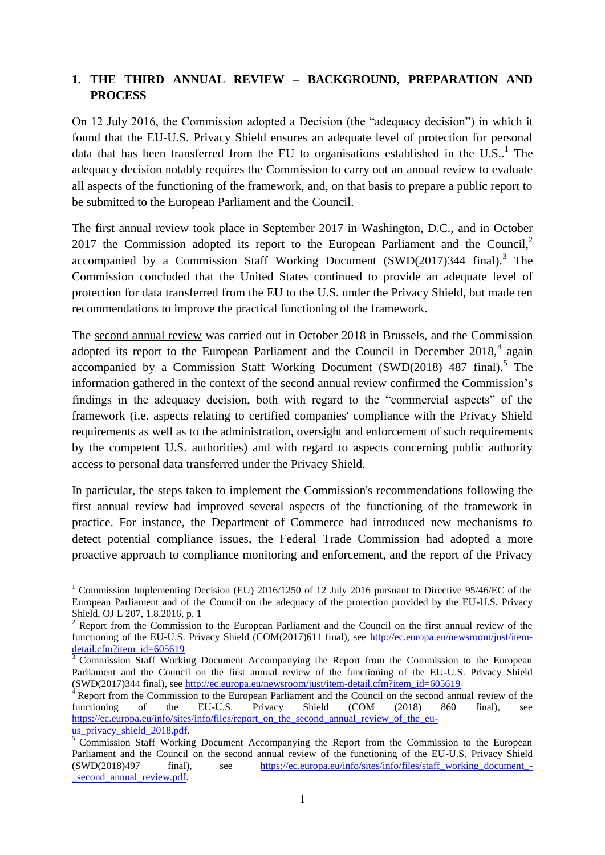## **1. THE THIRD ANNUAL REVIEW – BACKGROUND, PREPARATION AND PROCESS**

On 12 July 2016, the Commission adopted a Decision (the "adequacy decision") in which it found that the EU-U.S. Privacy Shield ensures an adequate level of protection for personal data that has been transferred from the EU to organisations established in the U.S..<sup>1</sup> The adequacy decision notably requires the Commission to carry out an annual review to evaluate all aspects of the functioning of the framework, and, on that basis to prepare a public report to be submitted to the European Parliament and the Council.

The first annual review took place in September 2017 in Washington, D.C., and in October 2017 the Commission adopted its report to the European Parliament and the Council.<sup>2</sup> accompanied by a Commission Staff Working Document  $(SWD(2017)344 \text{ final})$ .<sup>3</sup> The Commission concluded that the United States continued to provide an adequate level of protection for data transferred from the EU to the U.S. under the Privacy Shield, but made ten recommendations to improve the practical functioning of the framework.

The second annual review was carried out in October 2018 in Brussels, and the Commission adopted its report to the European Parliament and the Council in December  $2018<sup>4</sup>$  again accompanied by a Commission Staff Working Document (SWD $(2018)$  487 final).<sup>5</sup> The information gathered in the context of the second annual review confirmed the Commission's findings in the adequacy decision, both with regard to the "commercial aspects" of the framework (i.e. aspects relating to certified companies' compliance with the Privacy Shield requirements as well as to the administration, oversight and enforcement of such requirements by the competent U.S. authorities) and with regard to aspects concerning public authority access to personal data transferred under the Privacy Shield.

In particular, the steps taken to implement the Commission's recommendations following the first annual review had improved several aspects of the functioning of the framework in practice. For instance, the Department of Commerce had introduced new mechanisms to detect potential compliance issues, the Federal Trade Commission had adopted a more proactive approach to compliance monitoring and enforcement, and the report of the Privacy

**<sup>.</sup>** <sup>1</sup> Commission Implementing Decision (EU) 2016/1250 of 12 July 2016 pursuant to Directive 95/46/EC of the European Parliament and of the Council on the adequacy of the protection provided by the EU-U.S. Privacy Shield, OJ L 207, 1.8.2016, p. 1

 $2$  Report from the Commission to the European Parliament and the Council on the first annual review of the functioning of the EU-U.S. Privacy Shield (COM(2017)611 final), see [http://ec.europa.eu/newsroom/just/item](http://ec.europa.eu/newsroom/just/item-detail.cfm?item_id=605619)[detail.cfm?item\\_id=605619](http://ec.europa.eu/newsroom/just/item-detail.cfm?item_id=605619)

<sup>3</sup> Commission Staff Working Document Accompanying the Report from the Commission to the European Parliament and the Council on the first annual review of the functioning of the EU-U.S. Privacy Shield (SWD(2017)344 final), see [http://ec.europa.eu/newsroom/just/item-detail.cfm?item\\_id=605619](http://ec.europa.eu/newsroom/just/item-detail.cfm?item_id=605619)

Report from the Commission to the European Parliament and the Council on the second annual review of the functioning of the EU-U.S. Privacy Shield (COM (2018) 860 final), see [https://ec.europa.eu/info/sites/info/files/report\\_on\\_the\\_second\\_annual\\_review\\_of\\_the\\_eu](https://ec.europa.eu/info/sites/info/files/report_on_the_second_annual_review_of_the_eu-us_privacy_shield_2018.pdf)us privacy shield 2018.pdf.

 $5$  Commission Staff Working Document Accompanying the Report from the Commission to the European Parliament and the Council on the second annual review of the functioning of the EU-U.S. Privacy Shield (SWD(2018)497 final), see [https://ec.europa.eu/info/sites/info/files/staff\\_working\\_document\\_](https://ec.europa.eu/info/sites/info/files/staff_working_document_-_second_annual_review.pdf) second annual review.pdf.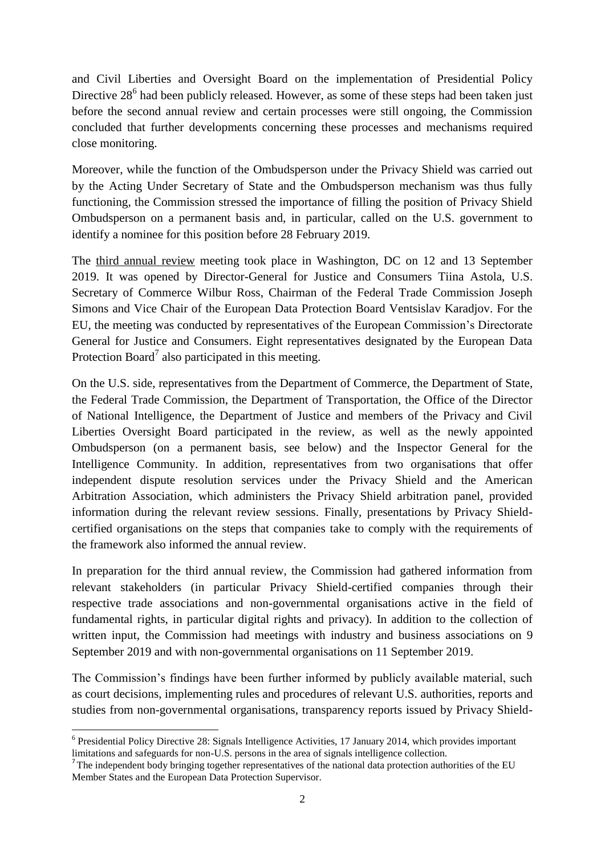and Civil Liberties and Oversight Board on the implementation of Presidential Policy Directive  $28^6$  had been publicly released. However, as some of these steps had been taken just before the second annual review and certain processes were still ongoing, the Commission concluded that further developments concerning these processes and mechanisms required close monitoring.

Moreover, while the function of the Ombudsperson under the Privacy Shield was carried out by the Acting Under Secretary of State and the Ombudsperson mechanism was thus fully functioning, the Commission stressed the importance of filling the position of Privacy Shield Ombudsperson on a permanent basis and, in particular, called on the U.S. government to identify a nominee for this position before 28 February 2019.

The third annual review meeting took place in Washington, DC on 12 and 13 September 2019. It was opened by Director-General for Justice and Consumers Tiina Astola, U.S. Secretary of Commerce Wilbur Ross, Chairman of the Federal Trade Commission Joseph Simons and Vice Chair of the European Data Protection Board Ventsislav Karadjov. For the EU, the meeting was conducted by representatives of the European Commission's Directorate General for Justice and Consumers. Eight representatives designated by the European Data Protection Board<sup>7</sup> also participated in this meeting.

On the U.S. side, representatives from the Department of Commerce, the Department of State, the Federal Trade Commission, the Department of Transportation, the Office of the Director of National Intelligence, the Department of Justice and members of the Privacy and Civil Liberties Oversight Board participated in the review, as well as the newly appointed Ombudsperson (on a permanent basis, see below) and the Inspector General for the Intelligence Community. In addition, representatives from two organisations that offer independent dispute resolution services under the Privacy Shield and the American Arbitration Association, which administers the Privacy Shield arbitration panel, provided information during the relevant review sessions. Finally, presentations by Privacy Shieldcertified organisations on the steps that companies take to comply with the requirements of the framework also informed the annual review.

In preparation for the third annual review, the Commission had gathered information from relevant stakeholders (in particular Privacy Shield-certified companies through their respective trade associations and non-governmental organisations active in the field of fundamental rights, in particular digital rights and privacy). In addition to the collection of written input, the Commission had meetings with industry and business associations on 9 September 2019 and with non-governmental organisations on 11 September 2019.

The Commission's findings have been further informed by publicly available material, such as court decisions, implementing rules and procedures of relevant U.S. authorities, reports and studies from non-governmental organisations, transparency reports issued by Privacy Shield-

**<sup>.</sup>** <sup>6</sup> Presidential Policy Directive 28: Signals Intelligence Activities, 17 January 2014, which provides important limitations and safeguards for non-U.S. persons in the area of signals intelligence collection.

<sup>&</sup>lt;sup>7</sup>The independent body bringing together representatives of the national data protection authorities of the EU Member States and the European Data Protection Supervisor.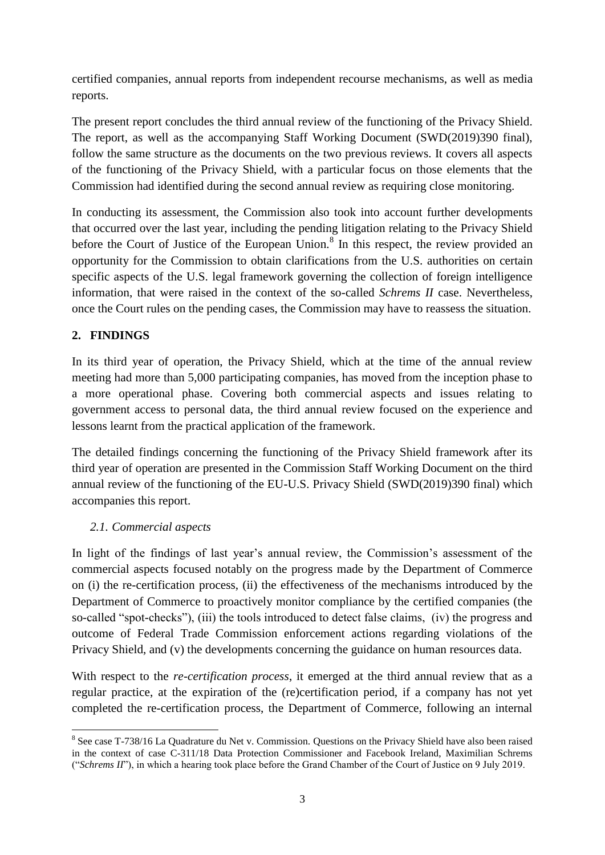certified companies, annual reports from independent recourse mechanisms, as well as media reports.

The present report concludes the third annual review of the functioning of the Privacy Shield. The report, as well as the accompanying Staff Working Document (SWD(2019)390 final), follow the same structure as the documents on the two previous reviews. It covers all aspects of the functioning of the Privacy Shield, with a particular focus on those elements that the Commission had identified during the second annual review as requiring close monitoring.

In conducting its assessment, the Commission also took into account further developments that occurred over the last year, including the pending litigation relating to the Privacy Shield before the Court of Justice of the European Union. $\delta$  In this respect, the review provided an opportunity for the Commission to obtain clarifications from the U.S. authorities on certain specific aspects of the U.S. legal framework governing the collection of foreign intelligence information, that were raised in the context of the so-called *Schrems II* case. Nevertheless, once the Court rules on the pending cases, the Commission may have to reassess the situation.

# **2. FINDINGS**

In its third year of operation, the Privacy Shield, which at the time of the annual review meeting had more than 5,000 participating companies, has moved from the inception phase to a more operational phase. Covering both commercial aspects and issues relating to government access to personal data, the third annual review focused on the experience and lessons learnt from the practical application of the framework.

The detailed findings concerning the functioning of the Privacy Shield framework after its third year of operation are presented in the Commission Staff Working Document on the third annual review of the functioning of the EU-U.S. Privacy Shield (SWD(2019)390 final) which accompanies this report.

### *2.1. Commercial aspects*

In light of the findings of last year's annual review, the Commission's assessment of the commercial aspects focused notably on the progress made by the Department of Commerce on (i) the re-certification process, (ii) the effectiveness of the mechanisms introduced by the Department of Commerce to proactively monitor compliance by the certified companies (the so-called "spot-checks"), (iii) the tools introduced to detect false claims, (iv) the progress and outcome of Federal Trade Commission enforcement actions regarding violations of the Privacy Shield, and (v) the developments concerning the guidance on human resources data.

With respect to the *re-certification process*, it emerged at the third annual review that as a regular practice, at the expiration of the (re)certification period, if a company has not yet completed the re-certification process, the Department of Commerce, following an internal

**<sup>.</sup>** <sup>8</sup> See case T-738/16 La Quadrature du Net v. Commission. Questions on the Privacy Shield have also been raised in the context of case C-311/18 Data Protection Commissioner and Facebook Ireland, Maximilian Schrems ("*Schrems II*"), in which a hearing took place before the Grand Chamber of the Court of Justice on 9 July 2019.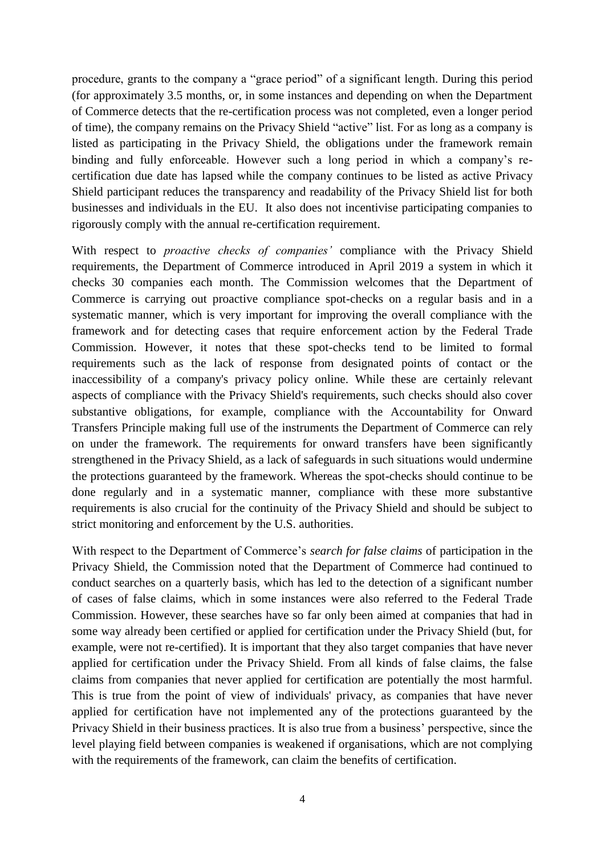procedure, grants to the company a "grace period" of a significant length. During this period (for approximately 3.5 months, or, in some instances and depending on when the Department of Commerce detects that the re-certification process was not completed, even a longer period of time), the company remains on the Privacy Shield "active" list. For as long as a company is listed as participating in the Privacy Shield, the obligations under the framework remain binding and fully enforceable. However such a long period in which a company's recertification due date has lapsed while the company continues to be listed as active Privacy Shield participant reduces the transparency and readability of the Privacy Shield list for both businesses and individuals in the EU. It also does not incentivise participating companies to rigorously comply with the annual re-certification requirement.

With respect to *proactive checks of companies'* compliance with the Privacy Shield requirements, the Department of Commerce introduced in April 2019 a system in which it checks 30 companies each month. The Commission welcomes that the Department of Commerce is carrying out proactive compliance spot-checks on a regular basis and in a systematic manner, which is very important for improving the overall compliance with the framework and for detecting cases that require enforcement action by the Federal Trade Commission. However, it notes that these spot-checks tend to be limited to formal requirements such as the lack of response from designated points of contact or the inaccessibility of a company's privacy policy online. While these are certainly relevant aspects of compliance with the Privacy Shield's requirements, such checks should also cover substantive obligations, for example, compliance with the Accountability for Onward Transfers Principle making full use of the instruments the Department of Commerce can rely on under the framework. The requirements for onward transfers have been significantly strengthened in the Privacy Shield, as a lack of safeguards in such situations would undermine the protections guaranteed by the framework. Whereas the spot-checks should continue to be done regularly and in a systematic manner, compliance with these more substantive requirements is also crucial for the continuity of the Privacy Shield and should be subject to strict monitoring and enforcement by the U.S. authorities.

With respect to the Department of Commerce's *search for false claims* of participation in the Privacy Shield, the Commission noted that the Department of Commerce had continued to conduct searches on a quarterly basis, which has led to the detection of a significant number of cases of false claims, which in some instances were also referred to the Federal Trade Commission. However, these searches have so far only been aimed at companies that had in some way already been certified or applied for certification under the Privacy Shield (but, for example, were not re-certified). It is important that they also target companies that have never applied for certification under the Privacy Shield. From all kinds of false claims, the false claims from companies that never applied for certification are potentially the most harmful. This is true from the point of view of individuals' privacy, as companies that have never applied for certification have not implemented any of the protections guaranteed by the Privacy Shield in their business practices. It is also true from a business' perspective, since the level playing field between companies is weakened if organisations, which are not complying with the requirements of the framework, can claim the benefits of certification.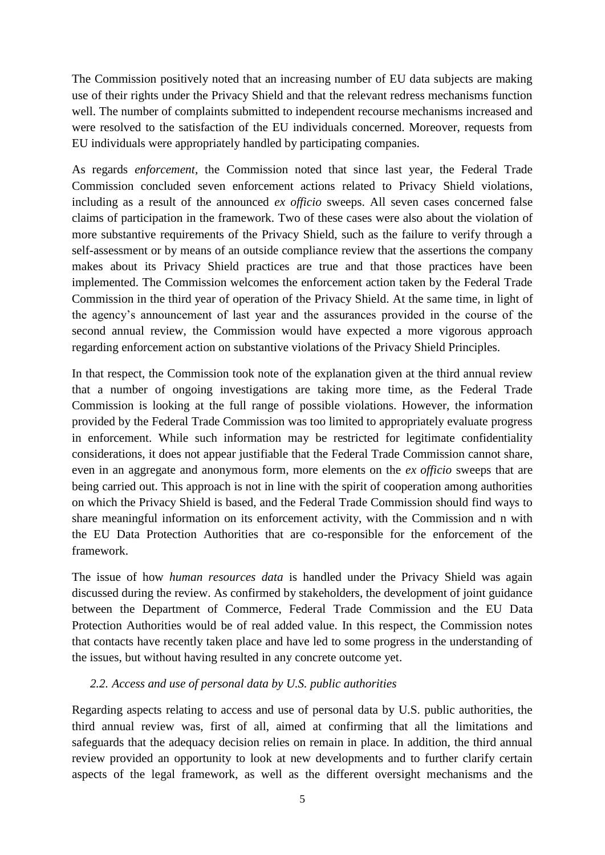The Commission positively noted that an increasing number of EU data subjects are making use of their rights under the Privacy Shield and that the relevant redress mechanisms function well. The number of complaints submitted to independent recourse mechanisms increased and were resolved to the satisfaction of the EU individuals concerned. Moreover, requests from EU individuals were appropriately handled by participating companies.

As regards *enforcement*, the Commission noted that since last year, the Federal Trade Commission concluded seven enforcement actions related to Privacy Shield violations, including as a result of the announced *ex officio* sweeps. All seven cases concerned false claims of participation in the framework. Two of these cases were also about the violation of more substantive requirements of the Privacy Shield, such as the failure to verify through a self-assessment or by means of an outside compliance review that the assertions the company makes about its Privacy Shield practices are true and that those practices have been implemented. The Commission welcomes the enforcement action taken by the Federal Trade Commission in the third year of operation of the Privacy Shield. At the same time, in light of the agency's announcement of last year and the assurances provided in the course of the second annual review, the Commission would have expected a more vigorous approach regarding enforcement action on substantive violations of the Privacy Shield Principles.

In that respect, the Commission took note of the explanation given at the third annual review that a number of ongoing investigations are taking more time, as the Federal Trade Commission is looking at the full range of possible violations. However, the information provided by the Federal Trade Commission was too limited to appropriately evaluate progress in enforcement. While such information may be restricted for legitimate confidentiality considerations, it does not appear justifiable that the Federal Trade Commission cannot share, even in an aggregate and anonymous form, more elements on the *ex officio* sweeps that are being carried out. This approach is not in line with the spirit of cooperation among authorities on which the Privacy Shield is based, and the Federal Trade Commission should find ways to share meaningful information on its enforcement activity, with the Commission and n with the EU Data Protection Authorities that are co-responsible for the enforcement of the framework.

The issue of how *human resources data* is handled under the Privacy Shield was again discussed during the review. As confirmed by stakeholders, the development of joint guidance between the Department of Commerce, Federal Trade Commission and the EU Data Protection Authorities would be of real added value. In this respect, the Commission notes that contacts have recently taken place and have led to some progress in the understanding of the issues, but without having resulted in any concrete outcome yet.

### *2.2. Access and use of personal data by U.S. public authorities*

Regarding aspects relating to access and use of personal data by U.S. public authorities, the third annual review was, first of all, aimed at confirming that all the limitations and safeguards that the adequacy decision relies on remain in place. In addition, the third annual review provided an opportunity to look at new developments and to further clarify certain aspects of the legal framework, as well as the different oversight mechanisms and the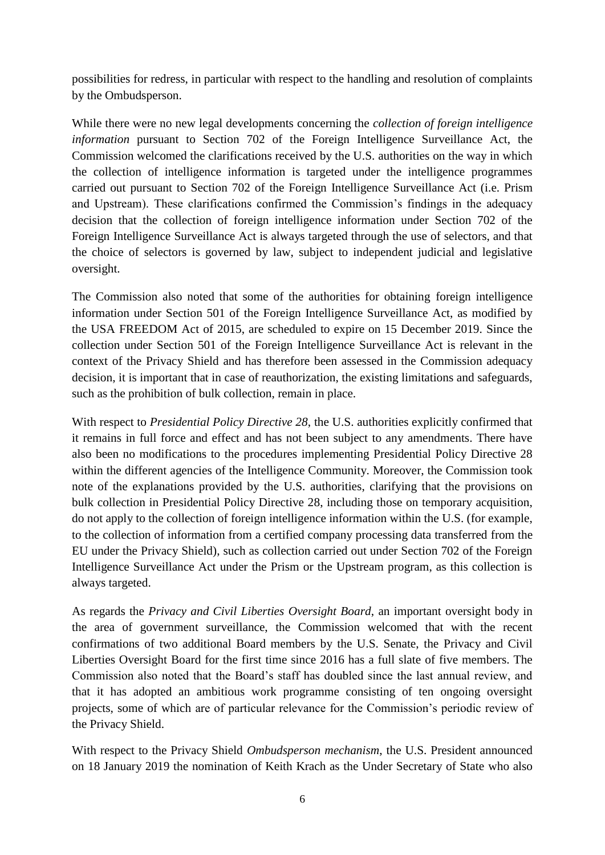possibilities for redress, in particular with respect to the handling and resolution of complaints by the Ombudsperson.

While there were no new legal developments concerning the *collection of foreign intelligence information* pursuant to Section 702 of the Foreign Intelligence Surveillance Act, the Commission welcomed the clarifications received by the U.S. authorities on the way in which the collection of intelligence information is targeted under the intelligence programmes carried out pursuant to Section 702 of the Foreign Intelligence Surveillance Act (i.e. Prism and Upstream). These clarifications confirmed the Commission's findings in the adequacy decision that the collection of foreign intelligence information under Section 702 of the Foreign Intelligence Surveillance Act is always targeted through the use of selectors, and that the choice of selectors is governed by law, subject to independent judicial and legislative oversight.

The Commission also noted that some of the authorities for obtaining foreign intelligence information under Section 501 of the Foreign Intelligence Surveillance Act, as modified by the USA FREEDOM Act of 2015, are scheduled to expire on 15 December 2019. Since the collection under Section 501 of the Foreign Intelligence Surveillance Act is relevant in the context of the Privacy Shield and has therefore been assessed in the Commission adequacy decision, it is important that in case of reauthorization, the existing limitations and safeguards, such as the prohibition of bulk collection, remain in place.

With respect to *Presidential Policy Directive 28*, the U.S. authorities explicitly confirmed that it remains in full force and effect and has not been subject to any amendments. There have also been no modifications to the procedures implementing Presidential Policy Directive 28 within the different agencies of the Intelligence Community. Moreover, the Commission took note of the explanations provided by the U.S. authorities, clarifying that the provisions on bulk collection in Presidential Policy Directive 28, including those on temporary acquisition, do not apply to the collection of foreign intelligence information within the U.S. (for example, to the collection of information from a certified company processing data transferred from the EU under the Privacy Shield), such as collection carried out under Section 702 of the Foreign Intelligence Surveillance Act under the Prism or the Upstream program, as this collection is always targeted.

As regards the *Privacy and Civil Liberties Oversight Board*, an important oversight body in the area of government surveillance, the Commission welcomed that with the recent confirmations of two additional Board members by the U.S. Senate, the Privacy and Civil Liberties Oversight Board for the first time since 2016 has a full slate of five members. The Commission also noted that the Board's staff has doubled since the last annual review, and that it has adopted an ambitious work programme consisting of ten ongoing oversight projects, some of which are of particular relevance for the Commission's periodic review of the Privacy Shield.

With respect to the Privacy Shield *Ombudsperson mechanism*, the U.S. President announced on 18 January 2019 the nomination of Keith Krach as the Under Secretary of State who also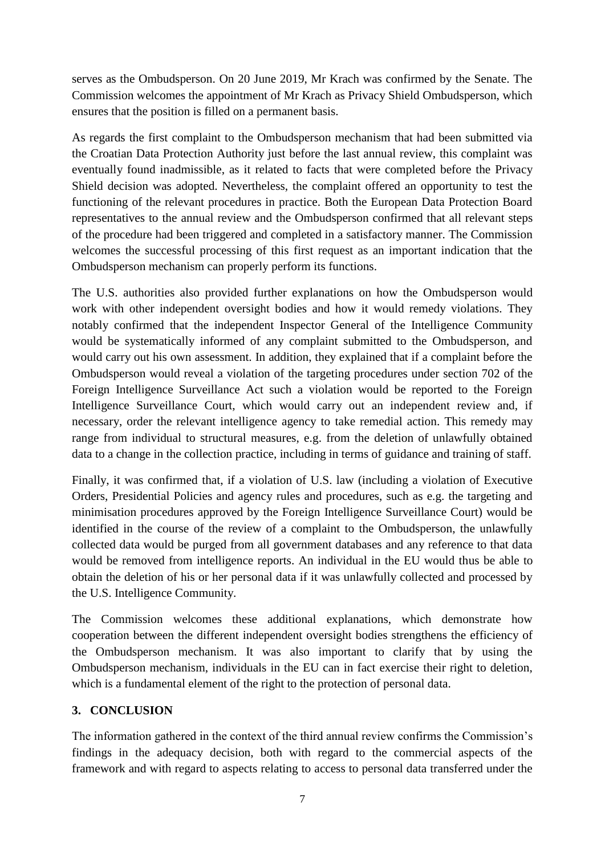serves as the Ombudsperson. On 20 June 2019, Mr Krach was confirmed by the Senate. The Commission welcomes the appointment of Mr Krach as Privacy Shield Ombudsperson, which ensures that the position is filled on a permanent basis.

As regards the first complaint to the Ombudsperson mechanism that had been submitted via the Croatian Data Protection Authority just before the last annual review, this complaint was eventually found inadmissible, as it related to facts that were completed before the Privacy Shield decision was adopted. Nevertheless, the complaint offered an opportunity to test the functioning of the relevant procedures in practice. Both the European Data Protection Board representatives to the annual review and the Ombudsperson confirmed that all relevant steps of the procedure had been triggered and completed in a satisfactory manner. The Commission welcomes the successful processing of this first request as an important indication that the Ombudsperson mechanism can properly perform its functions.

The U.S. authorities also provided further explanations on how the Ombudsperson would work with other independent oversight bodies and how it would remedy violations. They notably confirmed that the independent Inspector General of the Intelligence Community would be systematically informed of any complaint submitted to the Ombudsperson, and would carry out his own assessment. In addition, they explained that if a complaint before the Ombudsperson would reveal a violation of the targeting procedures under section 702 of the Foreign Intelligence Surveillance Act such a violation would be reported to the Foreign Intelligence Surveillance Court, which would carry out an independent review and, if necessary, order the relevant intelligence agency to take remedial action. This remedy may range from individual to structural measures, e.g. from the deletion of unlawfully obtained data to a change in the collection practice, including in terms of guidance and training of staff.

Finally, it was confirmed that, if a violation of U.S. law (including a violation of Executive Orders, Presidential Policies and agency rules and procedures, such as e.g. the targeting and minimisation procedures approved by the Foreign Intelligence Surveillance Court) would be identified in the course of the review of a complaint to the Ombudsperson, the unlawfully collected data would be purged from all government databases and any reference to that data would be removed from intelligence reports. An individual in the EU would thus be able to obtain the deletion of his or her personal data if it was unlawfully collected and processed by the U.S. Intelligence Community.

The Commission welcomes these additional explanations, which demonstrate how cooperation between the different independent oversight bodies strengthens the efficiency of the Ombudsperson mechanism. It was also important to clarify that by using the Ombudsperson mechanism, individuals in the EU can in fact exercise their right to deletion, which is a fundamental element of the right to the protection of personal data.

### **3. CONCLUSION**

The information gathered in the context of the third annual review confirms the Commission's findings in the adequacy decision, both with regard to the commercial aspects of the framework and with regard to aspects relating to access to personal data transferred under the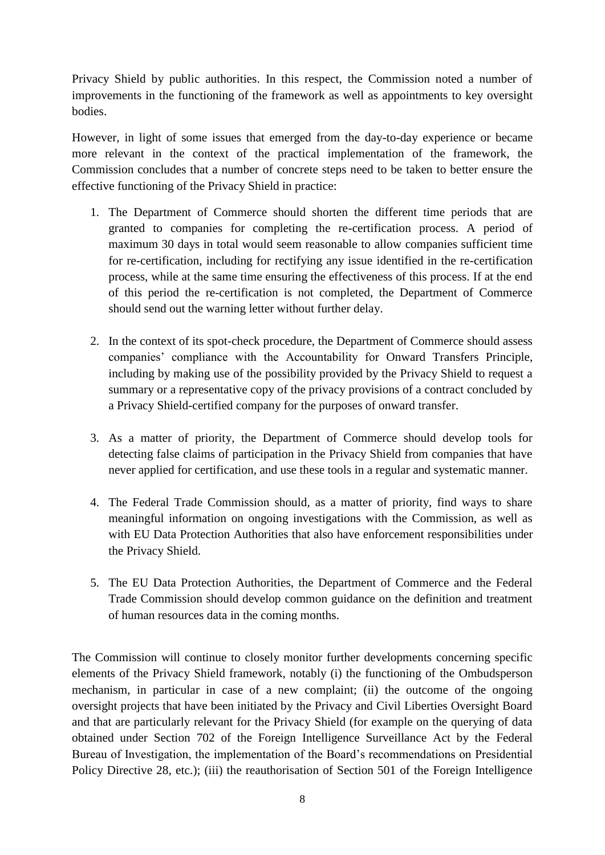Privacy Shield by public authorities. In this respect, the Commission noted a number of improvements in the functioning of the framework as well as appointments to key oversight bodies.

However, in light of some issues that emerged from the day-to-day experience or became more relevant in the context of the practical implementation of the framework, the Commission concludes that a number of concrete steps need to be taken to better ensure the effective functioning of the Privacy Shield in practice:

- 1. The Department of Commerce should shorten the different time periods that are granted to companies for completing the re-certification process. A period of maximum 30 days in total would seem reasonable to allow companies sufficient time for re-certification, including for rectifying any issue identified in the re-certification process, while at the same time ensuring the effectiveness of this process. If at the end of this period the re-certification is not completed, the Department of Commerce should send out the warning letter without further delay.
- 2. In the context of its spot-check procedure, the Department of Commerce should assess companies' compliance with the Accountability for Onward Transfers Principle, including by making use of the possibility provided by the Privacy Shield to request a summary or a representative copy of the privacy provisions of a contract concluded by a Privacy Shield-certified company for the purposes of onward transfer.
- 3. As a matter of priority, the Department of Commerce should develop tools for detecting false claims of participation in the Privacy Shield from companies that have never applied for certification, and use these tools in a regular and systematic manner.
- 4. The Federal Trade Commission should, as a matter of priority, find ways to share meaningful information on ongoing investigations with the Commission, as well as with EU Data Protection Authorities that also have enforcement responsibilities under the Privacy Shield.
- 5. The EU Data Protection Authorities, the Department of Commerce and the Federal Trade Commission should develop common guidance on the definition and treatment of human resources data in the coming months.

The Commission will continue to closely monitor further developments concerning specific elements of the Privacy Shield framework, notably (i) the functioning of the Ombudsperson mechanism, in particular in case of a new complaint; (ii) the outcome of the ongoing oversight projects that have been initiated by the Privacy and Civil Liberties Oversight Board and that are particularly relevant for the Privacy Shield (for example on the querying of data obtained under Section 702 of the Foreign Intelligence Surveillance Act by the Federal Bureau of Investigation, the implementation of the Board's recommendations on Presidential Policy Directive 28, etc.); (iii) the reauthorisation of Section 501 of the Foreign Intelligence